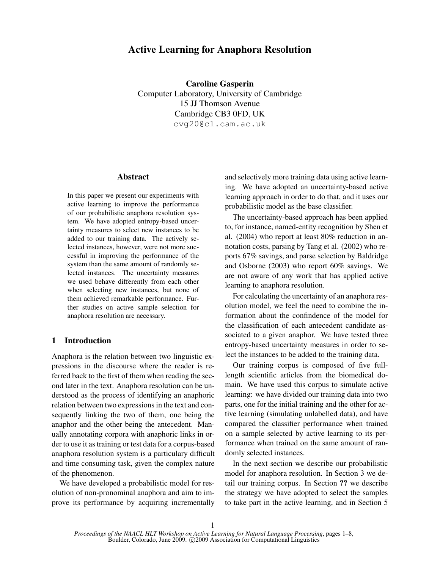# Active Learning for Anaphora Resolution

Caroline Gasperin Computer Laboratory, University of Cambridge 15 JJ Thomson Avenue Cambridge CB3 0FD, UK cvg20@cl.cam.ac.uk

# Abstract

In this paper we present our experiments with active learning to improve the performance of our probabilistic anaphora resolution system. We have adopted entropy-based uncertainty measures to select new instances to be added to our training data. The actively selected instances, however, were not more successful in improving the performance of the system than the same amount of randomly selected instances. The uncertainty measures we used behave differently from each other when selecting new instances, but none of them achieved remarkable performance. Further studies on active sample selection for anaphora resolution are necessary.

# 1 Introduction

Anaphora is the relation between two linguistic expressions in the discourse where the reader is referred back to the first of them when reading the second later in the text. Anaphora resolution can be understood as the process of identifying an anaphoric relation between two expressions in the text and consequently linking the two of them, one being the anaphor and the other being the antecedent. Manually annotating corpora with anaphoric links in order to use it as training or test data for a corpus-based anaphora resolution system is a particulary difficult and time consuming task, given the complex nature of the phenomenon.

We have developed a probabilistic model for resolution of non-pronominal anaphora and aim to improve its performance by acquiring incrementally and selectively more training data using active learning. We have adopted an uncertainty-based active learning approach in order to do that, and it uses our probabilistic model as the base classifier.

The uncertainty-based approach has been applied to, for instance, named-entity recognition by Shen et al. (2004) who report at least 80% reduction in annotation costs, parsing by Tang et al. (2002) who reports 67% savings, and parse selection by Baldridge and Osborne (2003) who report 60% savings. We are not aware of any work that has applied active learning to anaphora resolution.

For calculating the uncertainty of an anaphora resolution model, we feel the need to combine the information about the confindence of the model for the classification of each antecedent candidate associated to a given anaphor. We have tested three entropy-based uncertainty measures in order to select the instances to be added to the training data.

Our training corpus is composed of five fulllength scientific articles from the biomedical domain. We have used this corpus to simulate active learning: we have divided our training data into two parts, one for the initial training and the other for active learning (simulating unlabelled data), and have compared the classifier performance when trained on a sample selected by active learning to its performance when trained on the same amount of randomly selected instances.

In the next section we describe our probabilistic model for anaphora resolution. In Section 3 we detail our training corpus. In Section ?? we describe the strategy we have adopted to select the samples to take part in the active learning, and in Section 5

*Proceedings of the NAACL HLT Workshop on Active Learning for Natural Language Processing*, pages 1–8, Boulder, Colorado, June 2009. C 2009 Association for Computational Linguistics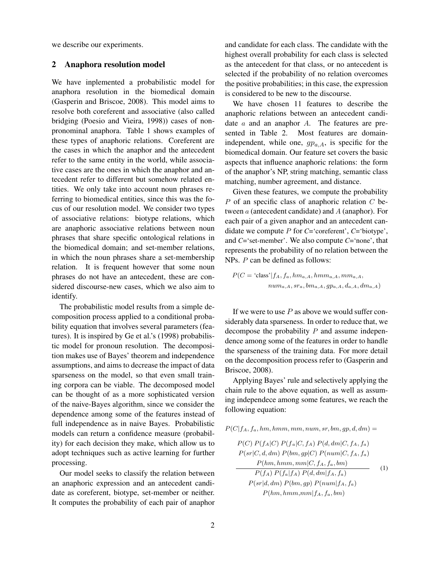we describe our experiments.

# 2 Anaphora resolution model

We have inplemented a probabilistic model for anaphora resolution in the biomedical domain (Gasperin and Briscoe, 2008). This model aims to resolve both coreferent and associative (also called bridging (Poesio and Vieira, 1998)) cases of nonpronominal anaphora. Table 1 shows examples of these types of anaphoric relations. Coreferent are the cases in which the anaphor and the antecedent refer to the same entity in the world, while associative cases are the ones in which the anaphor and antecedent refer to different but somehow related entities. We only take into account noun phrases referring to biomedical entities, since this was the focus of our resolution model. We consider two types of associative relations: biotype relations, which are anaphoric associative relations between noun phrases that share specific ontological relations in the biomedical domain; and set-member relations, in which the noun phrases share a set-membership relation. It is frequent however that some noun phrases do not have an antecedent, these are considered discourse-new cases, which we also aim to identify.

The probabilistic model results from a simple decomposition process applied to a conditional probability equation that involves several parameters (features). It is inspired by Ge et al.'s (1998) probabilistic model for pronoun resolution. The decomposition makes use of Bayes' theorem and independence assumptions, and aims to decrease the impact of data sparseness on the model, so that even small training corpora can be viable. The decomposed model can be thought of as a more sophisticated version of the naive-Bayes algorithm, since we consider the dependence among some of the features instead of full independence as in naive Bayes. Probabilistic models can return a confidence measure (probability) for each decision they make, which allow us to adopt techniques such as active learning for further processing.

Our model seeks to classify the relation between an anaphoric expression and an antecedent candidate as coreferent, biotype, set-member or neither. It computes the probability of each pair of anaphor and candidate for each class. The candidate with the highest overall probability for each class is selected as the antecedent for that class, or no antecedent is selected if the probability of no relation overcomes the positive probabilities; in this case, the expression is considered to be new to the discourse.

We have chosen 11 features to describe the anaphoric relations between an antecedent candidate  $a$  and an anaphor  $A$ . The features are presented in Table 2. Most features are domainindependent, while one,  $gp_{a,A}$ , is specific for the biomedical domain. Our feature set covers the basic aspects that influence anaphoric relations: the form of the anaphor's NP, string matching, semantic class matching, number agreement, and distance.

Given these features, we compute the probability  $P$  of an specific class of anaphoric relation  $C$  between a (antecedent candidate) and A (anaphor). For each pair of a given anaphor and an antecedent candidate we compute P for *C*='coreferent', *C*='biotype', and *C*='set-member'. We also compute *C*='none', that represents the probability of no relation between the NPs. P can be defined as follows:

$$
P(C = 'class'|f_A, f_a, hm_{a,A}, hm_{a,A}, mm_{a,A},
$$

$$
num_{a,A}, sr_a, bm_{a,A}, gr_{a,A}, d_{a,A}, dm_{a,A})
$$

If we were to use  $P$  as above we would suffer considerably data sparseness. In order to reduce that, we decompose the probability  $P$  and assume independence among some of the features in order to handle the sparseness of the training data. For more detail on the decomposition process refer to (Gasperin and Briscoe, 2008).

Applying Bayes' rule and selectively applying the chain rule to the above equation, as well as assuming independece among some features, we reach the following equation:

$$
P(C|f_A, f_a, hm, hmm, mm, num, sr, bm, gp, d, dm) = \\
$$

$$
P(C) P(f_A|C) P(f_a|C, f_A) P(d, dm|C, f_A, f_a)
$$
  
\n
$$
P(sr|C, d, dm) P(bm, gp|C) P(num|C, f_A, f_a)
$$
  
\n
$$
P(hm, hmm, mm|C, f_A, f_a, bm)
$$
  
\n
$$
P(f_A) P(f_a|f_A) P(d, dm|f_A, f_a)
$$
  
\n
$$
P(sr|d, dm) P(bm, gp) P(num|f_A, f_a)
$$
  
\n
$$
P(hm, hmm, mm|f_A, f_a, bm)
$$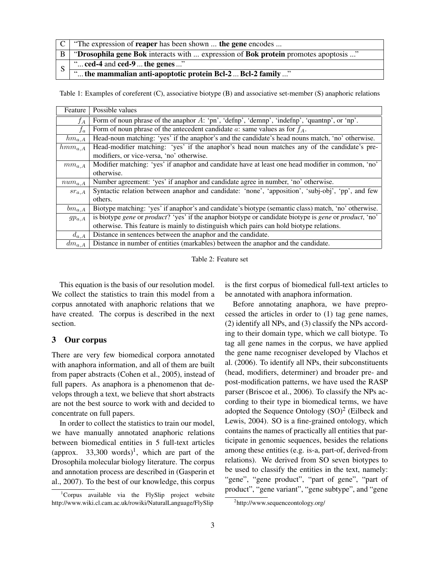|              | $\mid C \mid$ "The expression of <b>reaper</b> has been shown <b>the gene</b> encodes |  |  |  |  |  |
|--------------|---------------------------------------------------------------------------------------|--|--|--|--|--|
| $\mathbf{B}$ | "Drosophila gene Bok interacts with  expression of Bok protein promotes apoptosis "   |  |  |  |  |  |
| S            | " $\text{ced-4}$ and $\text{ced-9}$ the genes "                                       |  |  |  |  |  |
|              | " the mammalian anti-apoptotic protein Bcl-2  Bcl-2 family "                          |  |  |  |  |  |

Table 1: Examples of coreferent (C), associative biotype (B) and associative set-member (S) anaphoric relations

| Feature     | Possible values                                                                                                                      |  |  |  |  |  |
|-------------|--------------------------------------------------------------------------------------------------------------------------------------|--|--|--|--|--|
| $f_A$       | Form of noun phrase of the anaphor $A$ : 'pn', 'defnp', 'demnp', 'indefnp', 'quantnp', or 'np'.                                      |  |  |  |  |  |
| $f_a$       | Form of noun phrase of the antecedent candidate a: same values as for $f_A$ .                                                        |  |  |  |  |  |
| $hm_{a,A}$  | Head-noun matching: 'yes' if the anaphor's and the candidate's head nouns match, 'no' otherwise.                                     |  |  |  |  |  |
| $hmm_{a,A}$ | Head-modifier matching: 'yes' if the anaphor's head noun matches any of the candidate's pre-                                         |  |  |  |  |  |
|             | modifiers, or vice-versa, 'no' otherwise.                                                                                            |  |  |  |  |  |
| $mm_{a,A}$  | Modifier matching: 'yes' if anaphor and candidate have at least one head modifier in common, 'no'                                    |  |  |  |  |  |
|             | otherwise.                                                                                                                           |  |  |  |  |  |
| $num_{a,A}$ | Number agreement: 'yes' if anaphor and candidate agree in number, 'no' otherwise.                                                    |  |  |  |  |  |
| $sr_{a,A}$  | Syntactic relation between anaphor and candidate: 'none', 'apposition', 'subj-obj', 'pp', and few                                    |  |  |  |  |  |
|             | others.                                                                                                                              |  |  |  |  |  |
| $bm_{a,A}$  | Biotype matching: 'yes' if anaphor's and candidate's biotype (semantic class) match, 'no' otherwise.                                 |  |  |  |  |  |
| $gp_{a,A}$  | is biotype <i>gene</i> or <i>product</i> ? 'yes' if the anaphor biotype or candidate biotype is <i>gene</i> or <i>product</i> , 'no' |  |  |  |  |  |
|             | otherwise. This feature is mainly to distinguish which pairs can hold biotype relations.                                             |  |  |  |  |  |
| $d_{a,A}$   | Distance in sentences between the anaphor and the candidate.                                                                         |  |  |  |  |  |
| $dm_{a,A}$  | Distance in number of entities (markables) between the anaphor and the candidate.                                                    |  |  |  |  |  |

Table 2: Feature set

This equation is the basis of our resolution model. We collect the statistics to train this model from a corpus annotated with anaphoric relations that we have created. The corpus is described in the next section.

# 3 Our corpus

There are very few biomedical corpora annotated with anaphora information, and all of them are built from paper abstracts (Cohen et al., 2005), instead of full papers. As anaphora is a phenomenon that develops through a text, we believe that short abstracts are not the best source to work with and decided to concentrate on full papers.

In order to collect the statistics to train our model, we have manually annotated anaphoric relations between biomedical entities in 5 full-text articles (approx. 33,300 words)<sup>1</sup>, which are part of the Drosophila molecular biology literature. The corpus and annotation process are described in (Gasperin et al., 2007). To the best of our knowledge, this corpus

is the first corpus of biomedical full-text articles to be annotated with anaphora information.

Before annotating anaphora, we have preprocessed the articles in order to (1) tag gene names, (2) identify all NPs, and (3) classify the NPs according to their domain type, which we call biotype. To tag all gene names in the corpus, we have applied the gene name recogniser developed by Vlachos et al. (2006). To identify all NPs, their subconstituents (head, modifiers, determiner) and broader pre- and post-modification patterns, we have used the RASP parser (Briscoe et al., 2006). To classify the NPs according to their type in biomedical terms, we have adopted the Sequence Ontology  $(SO)^2$  (Eilbeck and Lewis, 2004). SO is a fine-grained ontology, which contains the names of practically all entities that participate in genomic sequences, besides the relations among these entities (e.g. is-a, part-of, derived-from relations). We derived from SO seven biotypes to be used to classify the entities in the text, namely: "gene", "gene product", "part of gene", "part of product", "gene variant", "gene subtype", and "gene

 $1$ Corpus available via the FlySlip project website http://www.wiki.cl.cam.ac.uk/rowiki/NaturalLanguage/FlySlip

<sup>&</sup>lt;sup>2</sup>http://www.sequenceontology.org/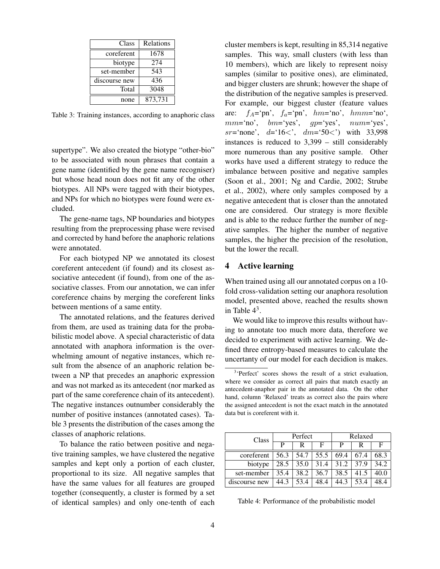| Class         | Relations |  |  |
|---------------|-----------|--|--|
| coreferent    | 1678      |  |  |
| biotype       | 274       |  |  |
| set-member    | 543       |  |  |
| discourse new | 436       |  |  |
| Total         | 3048      |  |  |
| none          | 873,731   |  |  |

Table 3: Training instances, according to anaphoric class

supertype". We also created the biotype "other-bio" to be associated with noun phrases that contain a gene name (identified by the gene name recogniser) but whose head noun does not fit any of the other biotypes. All NPs were tagged with their biotypes, and NPs for which no biotypes were found were excluded.

The gene-name tags, NP boundaries and biotypes resulting from the preprocessing phase were revised and corrected by hand before the anaphoric relations were annotated.

For each biotyped NP we annotated its closest coreferent antecedent (if found) and its closest associative antecedent (if found), from one of the associative classes. From our annotation, we can infer coreference chains by merging the coreferent links between mentions of a same entity.

The annotated relations, and the features derived from them, are used as training data for the probabilistic model above. A special characteristic of data annotated with anaphora information is the overwhelming amount of negative instances, which result from the absence of an anaphoric relation between a NP that precedes an anaphoric expression and was not marked as its antecedent (nor marked as part of the same coreference chain of its antecedent). The negative instances outnumber considerably the number of positive instances (annotated cases). Table 3 presents the distribution of the cases among the classes of anaphoric relations.

To balance the ratio between positive and negative training samples, we have clustered the negative samples and kept only a portion of each cluster, proportional to its size. All negative samples that have the same values for all features are grouped together (consequently, a cluster is formed by a set of identical samples) and only one-tenth of each

cluster members is kept, resulting in 85,314 negative samples. This way, small clusters (with less than 10 members), which are likely to represent noisy samples (similar to positive ones), are eliminated, and bigger clusters are shrunk; however the shape of the distribution of the negative samples is preserved. For example, our biggest cluster (feature values are:  $f_A = \n\gamma^n$ ,  $f_a = \n\gamma^n$ ,  $hm = \n\gamma^n$ ,  $hm = \n\gamma^n$ ,  $mm='no',$  bm='yes',  $qp='yes',$  num='yes', sr='none',  $d=16$ <',  $dm=50$ <') with 33,998 instances is reduced to 3,399 – still considerably more numerous than any positive sample. Other works have used a different strategy to reduce the imbalance between positive and negative samples (Soon et al., 2001; Ng and Cardie, 2002; Strube et al., 2002), where only samples composed by a negative antecedent that is closer than the annotated one are considered. Our strategy is more flexible and is able to the reduce further the number of negative samples. The higher the number of negative samples, the higher the precision of the resolution, but the lower the recall.

# 4 Active learning

When trained using all our annotated corpus on a 10 fold cross-validation setting our anaphora resolution model, presented above, reached the results shown in Table  $4^3$ .

We would like to improve this results without having to annotate too much more data, therefore we decided to experiment with active learning. We defined three entropy-based measures to calculate the uncertanty of our model for each decidion is makes.

<sup>&</sup>lt;sup>3</sup>'Perfect' scores shows the result of a strict evaluation, where we consider as correct all pairs that match exactly an antecedent-anaphor pair in the annotated data. On the other hand, column 'Relaxed' treats as correct also the pairs where the assigned antecedent is not the exact match in the annotated data but is coreferent with it.

| Class         | Perfect |      |      | Relaxed |      |      |
|---------------|---------|------|------|---------|------|------|
|               | P       | R    | F    | р       |      |      |
| coreferent    | 56.3    | 54.7 | 55.5 | 69.4    | 67.4 | 68.3 |
| biotype       | 28.5    | 35.0 | 31.4 | 31.2    | 37.9 | 34.2 |
| set-member    | 35.4    | 38.2 | 36.7 | 38.5    | 41.5 | 40.0 |
| discourse new | 44.3    | 53.4 | 48.4 | 44.3    | 53.4 | 48.4 |

Table 4: Performance of the probabilistic model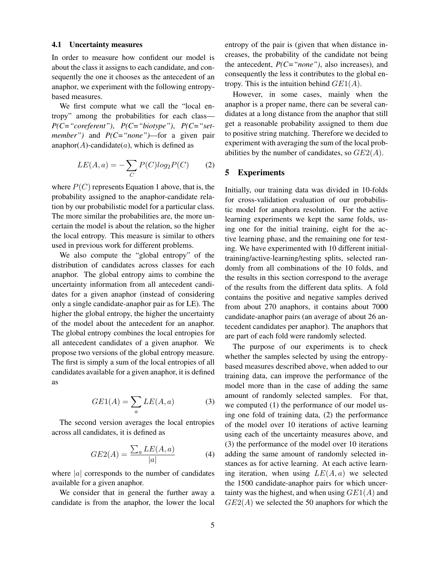#### 4.1 Uncertainty measures

In order to measure how confident our model is about the class it assigns to each candidate, and consequently the one it chooses as the antecedent of an anaphor, we experiment with the following entropybased measures.

We first compute what we call the "local entropy" among the probabilities for each class— *P(C="coreferent")*, *P(C="biotype")*, *P(C="setmember")* and *P(C="none")*—for a given pair anaphor( $A$ )-candidate( $a$ ), which is defined as

$$
LE(A, a) = -\sum_{C} P(C)log_2 P(C) \qquad (2)
$$

where  $P(C)$  represents Equation 1 above, that is, the probability assigned to the anaphor-candidate relation by our probabilistic model for a particular class. The more similar the probabilities are, the more uncertain the model is about the relation, so the higher the local entropy. This measure is similar to others used in previous work for different problems.

We also compute the "global entropy" of the distribution of candidates across classes for each anaphor. The global entropy aims to combine the uncertainty information from all antecedent candidates for a given anaphor (instead of considering only a single candidate-anaphor pair as for LE). The higher the global entropy, the higher the uncertainty of the model about the antecedent for an anaphor. The global entropy combines the local entropies for all antecedent candidates of a given anaphor. We propose two versions of the global entropy measure. The first is simply a sum of the local entropies of all candidates available for a given anaphor, it is defined as

$$
GE1(A) = \sum_{a} LE(A, a)
$$
 (3)

The second version averages the local entropies across all candidates, it is defined as

$$
GE2(A) = \frac{\sum_{a} LE(A, a)}{|a|} \tag{4}
$$

where  $|a|$  corresponds to the number of candidates available for a given anaphor.

We consider that in general the further away a candidate is from the anaphor, the lower the local entropy of the pair is (given that when distance increases, the probability of the candidate not being the antecedent, *P(C="none")*, also increases), and consequently the less it contributes to the global entropy. This is the intuition behind  $GE1(A)$ .

However, in some cases, mainly when the anaphor is a proper name, there can be several candidates at a long distance from the anaphor that still get a reasonable probability assigned to them due to positive string matching. Therefore we decided to experiment with averaging the sum of the local probabilities by the number of candidates, so  $GE2(A)$ .

## 5 Experiments

Initially, our training data was divided in 10-folds for cross-validation evaluation of our probabilistic model for anaphora resolution. For the active learning experiments we kept the same folds, using one for the initial training, eight for the active learning phase, and the remaining one for testing. We have experimented with 10 different initialtraining/active-learning/testing splits, selected randomly from all combinations of the 10 folds, and the results in this section correspond to the average of the results from the different data splits. A fold contains the positive and negative samples derived from about 270 anaphors, it contains about 7000 candidate-anaphor pairs (an average of about 26 antecedent candidates per anaphor). The anaphors that are part of each fold were randomly selected.

The purpose of our experiments is to check whether the samples selected by using the entropybased measures described above, when added to our training data, can improve the performance of the model more than in the case of adding the same amount of randomly selected samples. For that, we computed (1) the performance of our model using one fold of training data, (2) the performance of the model over 10 iterations of active learning using each of the uncertainty measures above, and (3) the performance of the model over 10 iterations adding the same amount of randomly selected instances as for active learning. At each active learning iteration, when using  $LE(A, a)$  we selected the 1500 candidate-anaphor pairs for which uncertainty was the highest, and when using  $GE1(A)$  and  $GE2(A)$  we selected the 50 anaphors for which the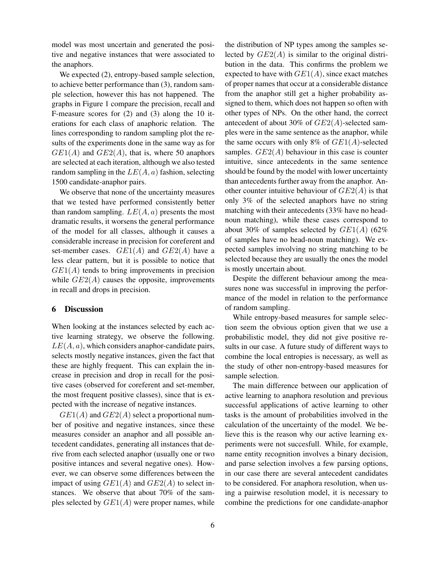model was most uncertain and generated the positive and negative instances that were associated to the anaphors.

We expected  $(2)$ , entropy-based sample selection, to achieve better performance than (3), random sample selection, however this has not happened. The graphs in Figure 1 compare the precision, recall and F-measure scores for (2) and (3) along the 10 iterations for each class of anaphoric relation. The lines corresponding to random sampling plot the results of the experiments done in the same way as for  $GE1(A)$  and  $GE2(A)$ , that is, where 50 anaphors are selected at each iteration, although we also tested random sampling in the  $LE(A, a)$  fashion, selecting 1500 candidate-anaphor pairs.

We observe that none of the uncertainty measures that we tested have performed consistently better than random sampling.  $LE(A, a)$  presents the most dramatic results, it worsens the general performance of the model for all classes, although it causes a considerable increase in precision for coreferent and set-member cases.  $GE1(A)$  and  $GE2(A)$  have a less clear pattern, but it is possible to notice that  $GE1(A)$  tends to bring improvements in precision while  $GE2(A)$  causes the opposite, improvements in recall and drops in precision.

### 6 Discussion

When looking at the instances selected by each active learning strategy, we observe the following.  $LE(A, a)$ , which considers anaphor-candidate pairs, selects mostly negative instances, given the fact that these are highly frequent. This can explain the increase in precision and drop in recall for the positive cases (observed for coreferent and set-member, the most frequent positive classes), since that is expected with the increase of negative instances.

 $GE1(A)$  and  $GE2(A)$  select a proportional number of positive and negative instances, since these measures consider an anaphor and all possible antecedent candidates, generating all instances that derive from each selected anaphor (usually one or two positive intances and several negative ones). However, we can observe some differences between the impact of using  $GE1(A)$  and  $GE2(A)$  to select instances. We observe that about 70% of the samples selected by  $GE1(A)$  were proper names, while the distribution of NP types among the samples selected by  $GE2(A)$  is similar to the original distribution in the data. This confirms the problem we expected to have with  $GE1(A)$ , since exact matches of proper names that occur at a considerable distance from the anaphor still get a higher probability assigned to them, which does not happen so often with other types of NPs. On the other hand, the correct antecedent of about 30% of  $GE2(A)$ -selected samples were in the same sentence as the anaphor, while the same occurs with only 8% of  $GE1(A)$ -selected samples.  $GE2(A)$  behaviour in this case is counter intuitive, since antecedents in the same sentence should be found by the model with lower uncertainty than antecedents further away from the anaphor. Another counter intuitive behaviour of  $GE2(A)$  is that only 3% of the selected anaphors have no string matching with their antecedents (33% have no headnoun matching), while these cases correspond to about 30% of samples selected by  $GE1(A)$  (62%) of samples have no head-noun matching). We expected samples involving no string matching to be selected because they are usually the ones the model is mostly uncertain about.

Despite the different behaviour among the measures none was successful in improving the performance of the model in relation to the performance of random sampling.

While entropy-based measures for sample selection seem the obvious option given that we use a probabilistic model, they did not give positive results in our case. A future study of different ways to combine the local entropies is necessary, as well as the study of other non-entropy-based measures for sample selection.

The main difference between our application of active learning to anaphora resolution and previous successful applications of active learning to other tasks is the amount of probabilities involved in the calculation of the uncertainty of the model. We believe this is the reason why our active learning experiments were not succesfull. While, for example, name entity recognition involves a binary decision, and parse selection involves a few parsing options, in our case there are several antecedent candidates to be considered. For anaphora resolution, when using a pairwise resolution model, it is necessary to combine the predictions for one candidate-anaphor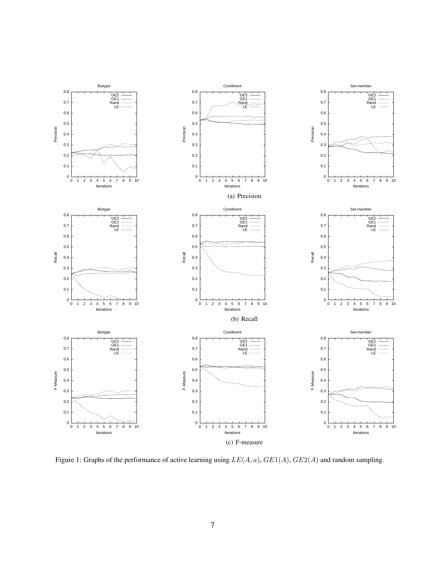

Figure 1: Graphs of the performance of active learning using  $LE(A, a)$ ,  $GE1(A)$ ,  $GE2(A)$  and random sampling.